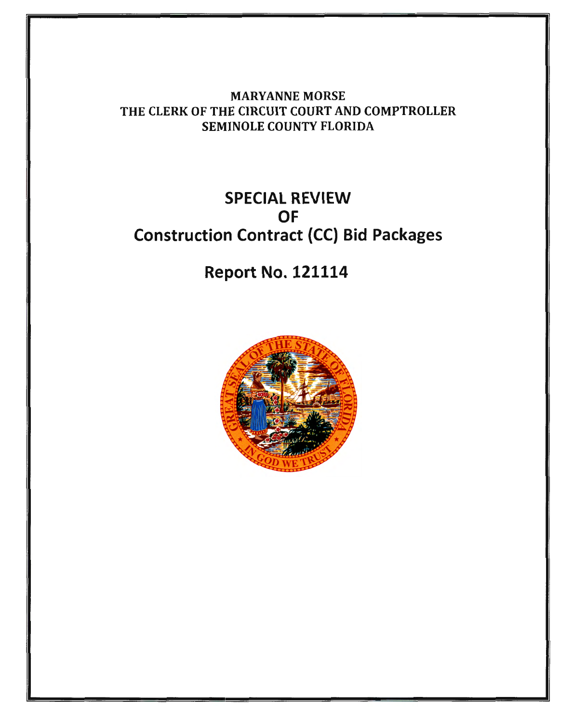MARYANNE MORSE THE CLERK OF THE CIRCUIT COURT AND COMPTROLLER SEMINOLE COUNTY FLORIDA

### SPECIAL REVIEW OF Construction Contract (CC) Bid Packages

Report No. 121114

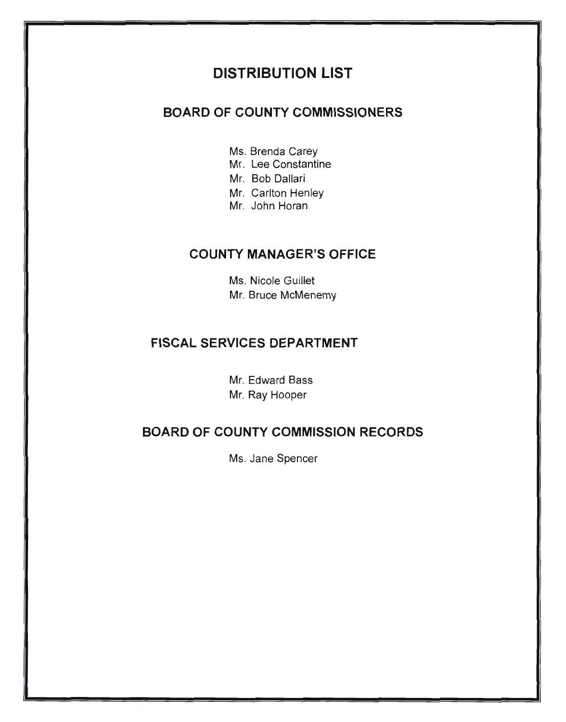#### **DISTRIBUTION LIST**

#### **BOARD OF COUNTY COMMISSIONERS**

- Ms. Brenda Carey
- Mr. Lee Constantine
- Mr. Bob Dallari
- Mr. Carlton Henley
- Mr. John Horan

#### **COUNTY MANAGER'S OFFICE**

Ms. Nicole Guillet Mr. Bruce McMenemy

#### **FISCAL SERVICES DEPARTMENT**

Mr. Edward Bass Mr. Ray Hooper

#### **BOARD OF COUNTY COMMISSION RECORDS**

Ms. Jane Spencer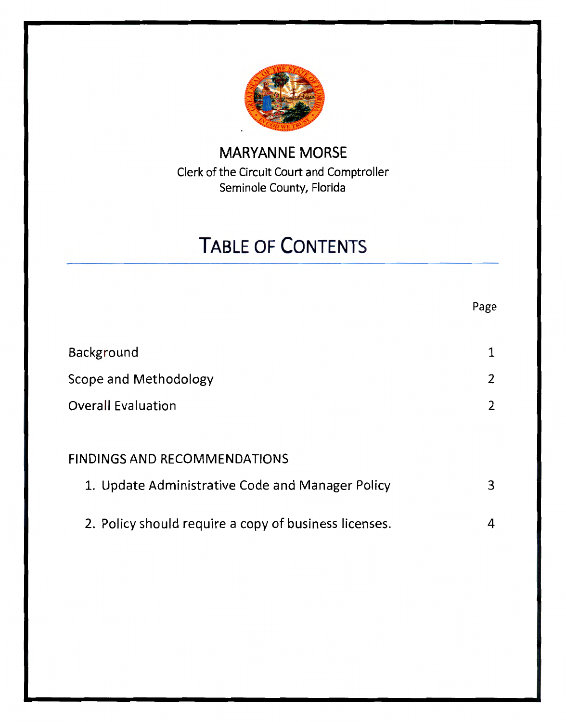

#### **MARYANNE MORSE**  Clerk of the Circuit Court and Comptroller Seminole County, Florida

# **TABLE OF CONTENTS**

|                                                       | Page                  |
|-------------------------------------------------------|-----------------------|
| Background                                            |                       |
| Scope and Methodology                                 | 2                     |
| <b>Overall Evaluation</b>                             | $\mathbf{2}^{\prime}$ |
|                                                       |                       |
| <b>FINDINGS AND RECOMMENDATIONS</b>                   |                       |
| 1. Update Administrative Code and Manager Policy      | 3                     |
| 2. Policy should require a copy of business licenses. | 4                     |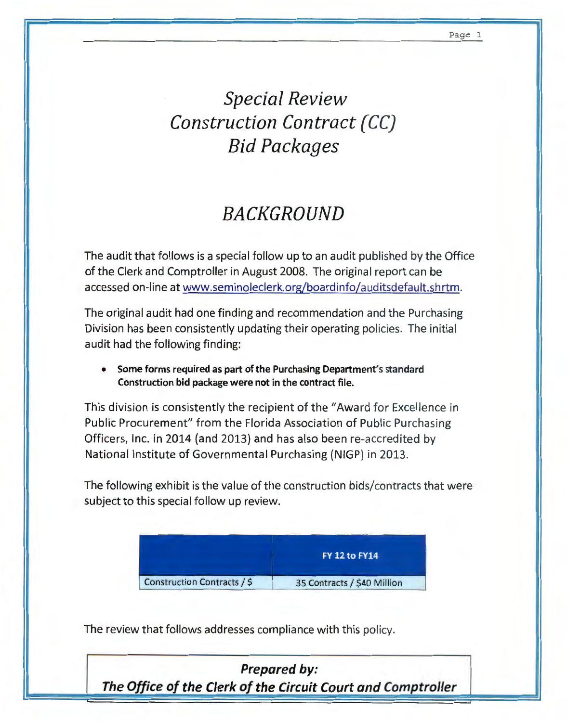## *Special Review Construction Contract (CC) Bid Packages*

### *BACKGROUND*

The audit that follows is a special follow up to an audit published by the Office of the Clerk and Comptroller in August 2008. The original report can be accessed on-line at www.seminoleclerk.org/boardinfo/auditsdefault.shrtm.

The original audit had one finding and recommendation and the Purchasing Division has been consistently updating their operating policies. The initial audit had the following finding:

• Some forms required as part of the Purchasing Department's standard Construction bid package were not in the contract file.

This division is consistently the recipient of the "Award for Excellence in Public Procurement" from the Florida Association of Public Purchasing Officers, Inc. in 2014 (and 2013) and has also been re-accredited by National Institute of Governmental Purchasing (NIGP) in 2013.

The following exhibit is the value of the construction bids/contracts that were subject to this special follow up review.



The review that follows addresses compliance with this policy.

*Prepared* **by:**  *The Office of the Clerk of the Circuit Court and Comptroller*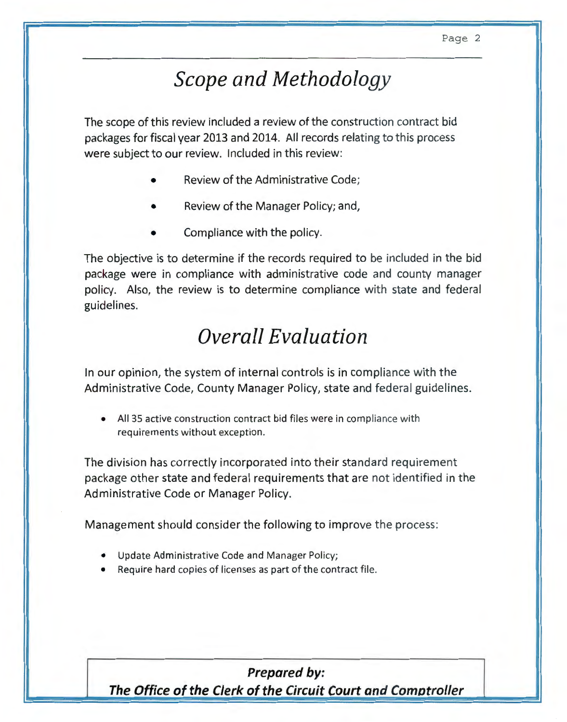## *Scope and Methodology*

The scope of this review included a review of the construction contract bid packages for fiscal year 2013 and 2014. All records relating to this process were subject to our review. Included in this review:

- Review of the Administrative Code;
- Review of the Manager Policy; and,
- Compliance with the policy.

The objective is to determine if the records required to be included in the bid package were in compliance with administrative code and county manager policy. Also, the review is to determine compliance with state and federal guidelines.

### *Overall Evaluation*

In our opinion, the system of internal controls is in compliance with the Administrative Code, County Manager Policy, state and federal guidelines.

All 35 active construction contract bid files were in compliance with requirements without exception.

The division has correctly incorporated into their standard requirement package other state and federal requirements that are not identified in the Administrative Code or Manager Policy.

Management should consider the following to improve the process:

- Update Administrative Code and Manager Policy;
- Require hard copies of licenses as part of the contract file.

#### **Prepared by:**

**The Office of the Clerk of the Circuit Court and Comotroller**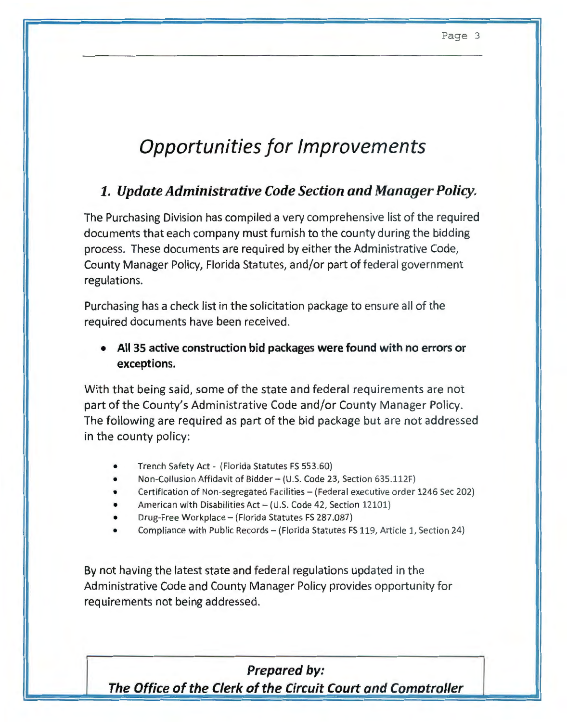# **Opportunities for Improvements**

#### *1. Update Administrative Code Section and Manager Policy.*

The Purchasing Division has compiled a very comprehensive list of the required documents that each company must furnish to the county during the bidding process. These documents are required by either the Administrative Code, County Manager Policy, Florida Statutes, and/or part of federal government regulations.

Purchasing has a check list in the solicitation package to ensure all of the required documents have been received.

• **All 35 active construction bid packages were found with no errors or exceptions.** 

With that being said, some of the state and federal requirements are not part of the County's Administrative Code and/or County Manager Policy. The following are required as part of the bid package but are not addressed in the county policy:

- Trench Safety Act- (Florida Statutes FS 553.60)
- Non-Collusion Affidavit of Bidder- (U .S. Code 23, Section 635.112F)
- Certification of Non-segregated Facilities- (Federal executive order 1246 Sec 202)
- American with Disabilities Act (U.S. Code 42, Section 12101)
- Drug-Free Workplace- (Florida Statutes FS 287.087)
- Compliance with Public Records- (Florida Statutes FS 119, Article 1, Section 24)

By not having the latest state and federal regulations updated in the Administrative Code and County Manager Policy provides opportunity for requirements not being addressed.

**Prepared by: The Office of the Clerk of the Circuit Court and Comotroller**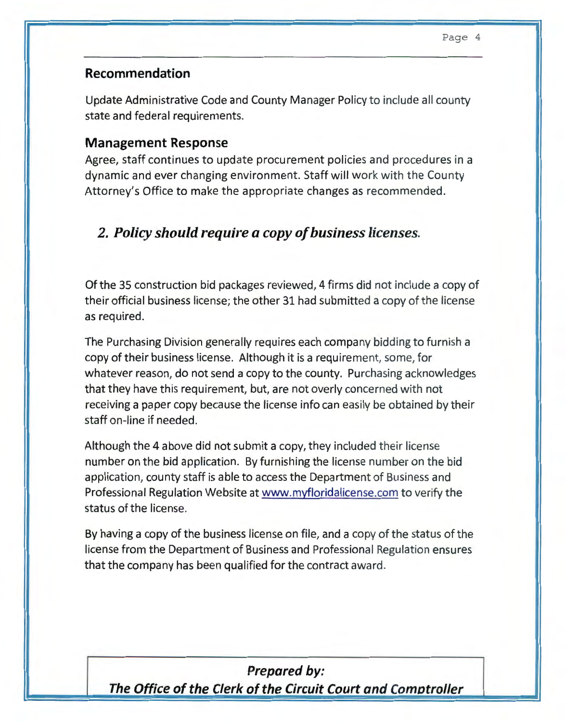#### **Recommendation**

Update Administrative Code and County Manager Policy to include all county state and federal requirements.

#### **Management Response**

Agree, staff continues to update procurement policies and procedures in a dynamic and ever changing environment. Staff will work with the County Attorney's Office to make the appropriate changes as recommended.

#### *2. Policy should require a copy of business licenses.*

Of the 35 construction bid packages reviewed, 4 firms did not include a copy of their official business license; the other 31 had submitted a copy of the license as required.

The Purchasing Division generally requires each company bidding to furnish a copy of their business license. Although it is a requirement, some, for whatever reason, do not send a copy to the county. Purchasing acknowledges that they have this requirement, but, are not overly concerned with not receiving a paper copy because the license info can easily be obtained by their staff on-line if needed.

Although the 4 above did not submit a copy, they included their license number on the bid application. By furnishing the license number on the bid application, county staff is able to access the Department of Business and Professional Regulation Website at www.myfloridalicense.com to verify the status of the license.

By having a copy of the business license on file, and a copy of the status of the license from the Department of Business and Professional Regulation ensures that the company has been qualified for the contract award.

#### **Prepared by:**

**The Office of the Clerk of the Circuit Court and Comotroller**